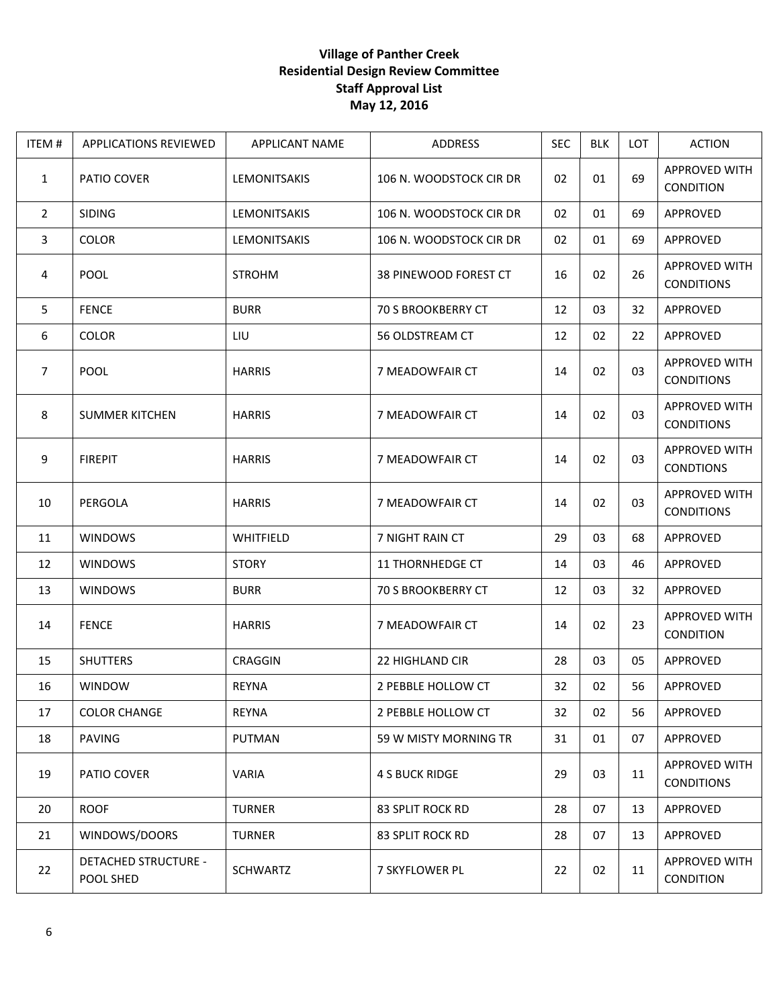## **Village of Panther Creek Residential Design Review Committee Staff Approval List May 12, 2016**

| ITEM #         | <b>APPLICATIONS REVIEWED</b>             | <b>APPLICANT NAME</b> | ADDRESS                   | <b>SEC</b> | <b>BLK</b> | LOT | <b>ACTION</b>                             |
|----------------|------------------------------------------|-----------------------|---------------------------|------------|------------|-----|-------------------------------------------|
| $\mathbf{1}$   | PATIO COVER                              | LEMONITSAKIS          | 106 N. WOODSTOCK CIR DR   | 02         | 01         | 69  | APPROVED WITH<br><b>CONDITION</b>         |
| $\overline{2}$ | <b>SIDING</b>                            | LEMONITSAKIS          | 106 N. WOODSTOCK CIR DR   | 02         | 01         | 69  | APPROVED                                  |
| 3              | <b>COLOR</b>                             | <b>LEMONITSAKIS</b>   | 106 N. WOODSTOCK CIR DR   | 02         | 01         | 69  | APPROVED                                  |
| 4              | POOL                                     | <b>STROHM</b>         | 38 PINEWOOD FOREST CT     | 16         | 02         | 26  | <b>APPROVED WITH</b><br><b>CONDITIONS</b> |
| 5              | <b>FENCE</b>                             | <b>BURR</b>           | <b>70 S BROOKBERRY CT</b> | 12         | 03         | 32  | APPROVED                                  |
| 6              | <b>COLOR</b>                             | LIU                   | 56 OLDSTREAM CT           | 12         | 02         | 22  | APPROVED                                  |
| $\overline{7}$ | <b>POOL</b>                              | <b>HARRIS</b>         | 7 MEADOWFAIR CT           | 14         | 02         | 03  | <b>APPROVED WITH</b><br><b>CONDITIONS</b> |
| 8              | <b>SUMMER KITCHEN</b>                    | <b>HARRIS</b>         | 7 MEADOWFAIR CT           | 14         | 02         | 03  | <b>APPROVED WITH</b><br><b>CONDITIONS</b> |
| 9              | <b>FIREPIT</b>                           | <b>HARRIS</b>         | 7 MEADOWFAIR CT           | 14         | 02         | 03  | <b>APPROVED WITH</b><br><b>CONDTIONS</b>  |
| 10             | PERGOLA                                  | <b>HARRIS</b>         | 7 MEADOWFAIR CT           | 14         | 02         | 03  | <b>APPROVED WITH</b><br><b>CONDITIONS</b> |
| 11             | <b>WINDOWS</b>                           | WHITFIELD             | 7 NIGHT RAIN CT           | 29         | 03         | 68  | APPROVED                                  |
| 12             | <b>WINDOWS</b>                           | <b>STORY</b>          | <b>11 THORNHEDGE CT</b>   | 14         | 03         | 46  | APPROVED                                  |
| 13             | <b>WINDOWS</b>                           | <b>BURR</b>           | <b>70 S BROOKBERRY CT</b> | 12         | 03         | 32  | APPROVED                                  |
| 14             | <b>FENCE</b>                             | <b>HARRIS</b>         | 7 MEADOWFAIR CT           | 14         | 02         | 23  | <b>APPROVED WITH</b><br>CONDITION         |
| 15             | <b>SHUTTERS</b>                          | <b>CRAGGIN</b>        | 22 HIGHLAND CIR           | 28         | 03         | 05  | APPROVED                                  |
| 16             | <b>WINDOW</b>                            | <b>REYNA</b>          | 2 PEBBLE HOLLOW CT        | 32         | 02         | 56  | APPROVED                                  |
| 17             | <b>COLOR CHANGE</b>                      | <b>REYNA</b>          | 2 PEBBLE HOLLOW CT        | 32         | 02         | 56  | APPROVED                                  |
| 18             | <b>PAVING</b>                            | <b>PUTMAN</b>         | 59 W MISTY MORNING TR     | 31         | 01         | 07  | APPROVED                                  |
| 19             | PATIO COVER                              | <b>VARIA</b>          | <b>4 S BUCK RIDGE</b>     | 29         | 03         | 11  | <b>APPROVED WITH</b><br><b>CONDITIONS</b> |
| 20             | <b>ROOF</b>                              | <b>TURNER</b>         | 83 SPLIT ROCK RD          | 28         | 07         | 13  | APPROVED                                  |
| 21             | WINDOWS/DOORS                            | <b>TURNER</b>         | 83 SPLIT ROCK RD          | 28         | 07         | 13  | APPROVED                                  |
| 22             | <b>DETACHED STRUCTURE -</b><br>POOL SHED | <b>SCHWARTZ</b>       | 7 SKYFLOWER PL            | 22         | 02         | 11  | APPROVED WITH<br>CONDITION                |